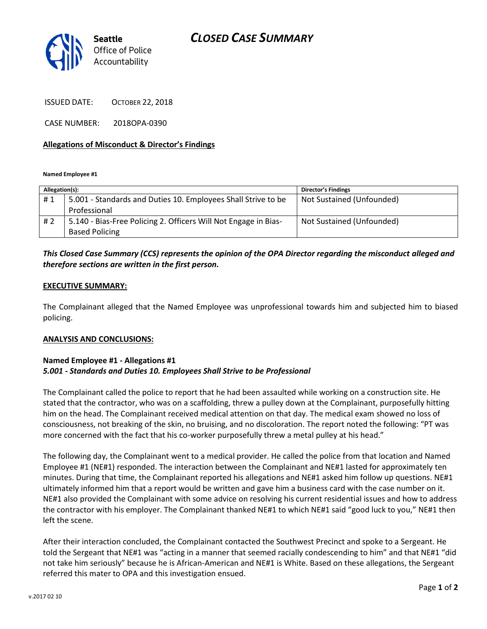# *CLOSED CASE SUMMARY*



ISSUED DATE: OCTOBER 22, 2018

CASE NUMBER: 2018OPA-0390

### **Allegations of Misconduct & Director's Findings**

**Named Employee #1**

| Allegation(s): |                                                                 | <b>Director's Findings</b> |
|----------------|-----------------------------------------------------------------|----------------------------|
| #1             | 5.001 - Standards and Duties 10. Employees Shall Strive to be   | Not Sustained (Unfounded)  |
|                | Professional                                                    |                            |
| #2             | 5.140 - Bias-Free Policing 2. Officers Will Not Engage in Bias- | Not Sustained (Unfounded)  |
|                | <b>Based Policing</b>                                           |                            |

# *This Closed Case Summary (CCS) represents the opinion of the OPA Director regarding the misconduct alleged and therefore sections are written in the first person.*

### **EXECUTIVE SUMMARY:**

The Complainant alleged that the Named Employee was unprofessional towards him and subjected him to biased policing.

#### **ANALYSIS AND CONCLUSIONS:**

## **Named Employee #1 - Allegations #1** *5.001 - Standards and Duties 10. Employees Shall Strive to be Professional*

The Complainant called the police to report that he had been assaulted while working on a construction site. He stated that the contractor, who was on a scaffolding, threw a pulley down at the Complainant, purposefully hitting him on the head. The Complainant received medical attention on that day. The medical exam showed no loss of consciousness, not breaking of the skin, no bruising, and no discoloration. The report noted the following: "PT was more concerned with the fact that his co-worker purposefully threw a metal pulley at his head."

The following day, the Complainant went to a medical provider. He called the police from that location and Named Employee #1 (NE#1) responded. The interaction between the Complainant and NE#1 lasted for approximately ten minutes. During that time, the Complainant reported his allegations and NE#1 asked him follow up questions. NE#1 ultimately informed him that a report would be written and gave him a business card with the case number on it. NE#1 also provided the Complainant with some advice on resolving his current residential issues and how to address the contractor with his employer. The Complainant thanked NE#1 to which NE#1 said "good luck to you," NE#1 then left the scene.

After their interaction concluded, the Complainant contacted the Southwest Precinct and spoke to a Sergeant. He told the Sergeant that NE#1 was "acting in a manner that seemed racially condescending to him" and that NE#1 "did not take him seriously" because he is African-American and NE#1 is White. Based on these allegations, the Sergeant referred this mater to OPA and this investigation ensued.